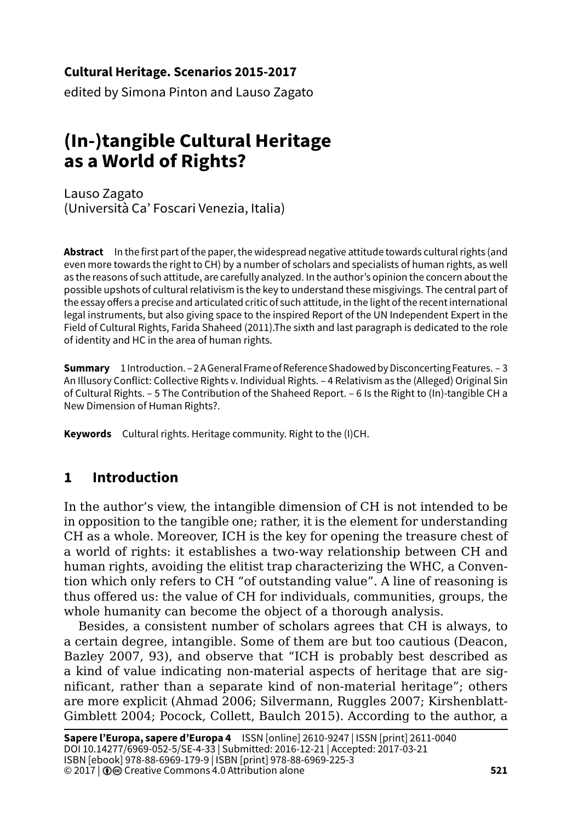#### **Cultural Heritage. Scenarios 2015-2017**

edited by Simona Pinton and Lauso Zagato

# **(In-)tangible Cultural Heritage as a World of Rights?**

Lauso Zagato (Università Ca' Foscari Venezia, Italia)

**Abstract** In the first part of the paper, the widespread negative attitude towards cultural rights (and even more towards the right to CH) by a number of scholars and specialists of human rights, as well as the reasons of such attitude, are carefully analyzed. In the author's opinion the concern about the possible upshots of cultural relativism is the key to understand these misgivings. The central part of the essay offers a precise and articulated critic of such attitude, in the light of the recent international legal instruments, but also giving space to the inspired Report of the UN Independent Expert in the Field of Cultural Rights, Farida Shaheed (2011).The sixth and last paragraph is dedicated to the role of identity and HC in the area of human rights.

**Summary** 1 Introduction. – 2 A General Frame of Reference Shadowed by Disconcerting Features. – 3 An Illusory Conflict: Collective Rights v. Individual Rights. – 4 Relativism as the (Alleged) Original Sin of Cultural Rights. – 5 The Contribution of the Shaheed Report. – 6 Is the Right to (In)-tangible CH a New Dimension of Human Rights?.

**Keywords** Cultural rights. Heritage community. Right to the (I)CH.

# **1 Introduction**

In the author's view, the intangible dimension of CH is not intended to be in opposition to the tangible one; rather, it is the element for understanding CH as a whole. Moreover, ICH is the key for opening the treasure chest of a world of rights: it establishes a two-way relationship between CH and human rights, avoiding the elitist trap characterizing the WHC, a Convention which only refers to CH "of outstanding value". A line of reasoning is thus offered us: the value of CH for individuals, communities, groups, the whole humanity can become the object of a thorough analysis.

Besides, a consistent number of scholars agrees that CH is always, to a certain degree, intangible. Some of them are but too cautious (Deacon, Bazley 2007, 93), and observe that "ICH is probably best described as a kind of value indicating non-material aspects of heritage that are significant, rather than a separate kind of non-material heritage"; others are more explicit (Ahmad 2006; Silvermann, Ruggles 2007; Kirshenblatt-Gimblett 2004; Pocock, Collett, Baulch 2015). According to the author, a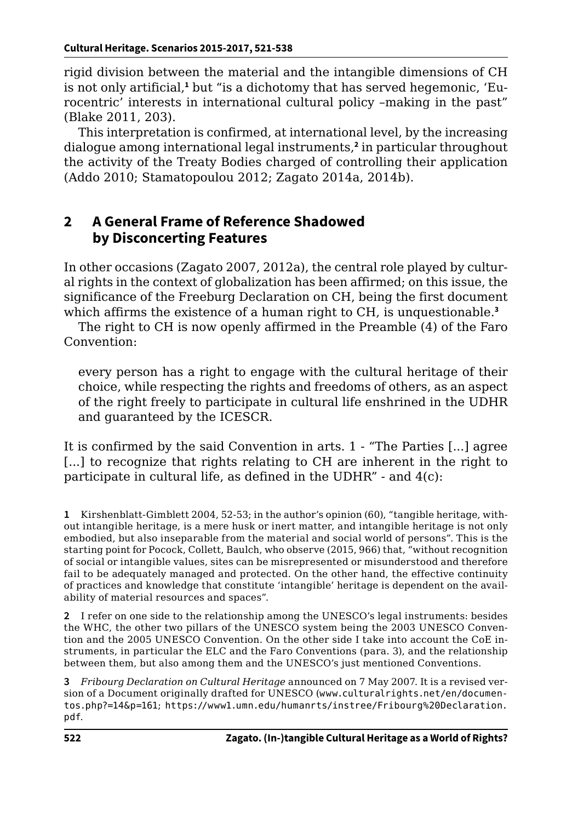rigid division between the material and the intangible dimensions of CH is not only artificial,**<sup>1</sup>** but "is a dichotomy that has served hegemonic, 'Eurocentric' interests in international cultural policy –making in the past" (Blake 2011, 203).

This interpretation is confirmed, at international level, by the increasing dialogue among international legal instruments,**<sup>2</sup>** in particular throughout the activity of the Treaty Bodies charged of controlling their application (Addo 2010; Stamatopoulou 2012; Zagato 2014a, 2014b).

#### **2 A General Frame of Reference Shadowed by Disconcerting Features**

In other occasions (Zagato 2007, 2012a), the central role played by cultural rights in the context of globalization has been affirmed; on this issue, the significance of the Freeburg Declaration on CH, being the first document which affirms the existence of a human right to CH, is unquestionable.**<sup>3</sup>**

The right to CH is now openly affirmed in the Preamble (4) of the Faro Convention:

every person has a right to engage with the cultural heritage of their choice, while respecting the rights and freedoms of others, as an aspect of the right freely to participate in cultural life enshrined in the UDHR and guaranteed by the ICESCR.

It is confirmed by the said Convention in arts. 1 - "The Parties [...] agree [...] to recognize that rights relating to CH are inherent in the right to participate in cultural life, as defined in the UDHR" - and 4(c):

**1** Kirshenblatt-Gimblett 2004, 52-53; in the author's opinion (60), "tangible heritage, without intangible heritage, is a mere husk or inert matter, and intangible heritage is not only embodied, but also inseparable from the material and social world of persons". This is the starting point for Pocock, Collett, Baulch, who observe (2015, 966) that, "without recognition of social or intangible values, sites can be misrepresented or misunderstood and therefore fail to be adequately managed and protected. On the other hand, the effective continuity of practices and knowledge that constitute 'intangible' heritage is dependent on the availability of material resources and spaces".

**2** I refer on one side to the relationship among the UNESCO's legal instruments: besides the WHC, the other two pillars of the UNESCO system being the 2003 UNESCO Convention and the 2005 UNESCO Convention. On the other side I take into account the CoE instruments, in particular the ELC and the Faro Conventions (para. 3), and the relationship between them, but also among them and the UNESCO's just mentioned Conventions.

**3** *Fribourg Declaration on Cultural Heritage* announced on 7 May 2007. It is a revised version of a Document originally drafted for UNESCO ([www.culturalrights.net/en/documen](http://www.culturalrights.net/en/documentos.php?=14&p=161)[tos.php?=14&p=161](http://www.culturalrights.net/en/documentos.php?=14&p=161); [https://www1.umn.edu/humanrts/instree/Fribourg%20Declaration.](https://www1.umn.edu/humanrts/instree/Fribourg%20Declaration.pdf.) [pdf](https://www1.umn.edu/humanrts/instree/Fribourg%20Declaration.pdf.).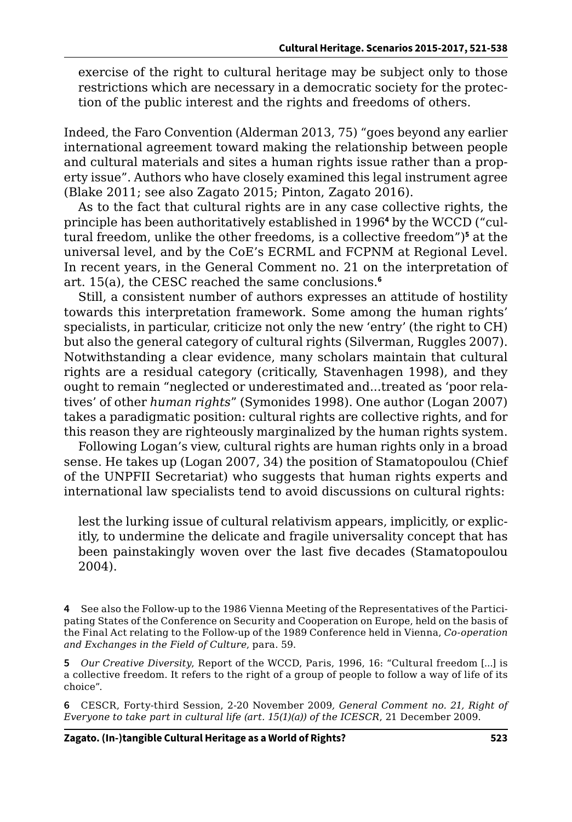exercise of the right to cultural heritage may be subject only to those restrictions which are necessary in a democratic society for the protection of the public interest and the rights and freedoms of others.

Indeed, the Faro Convention (Alderman 2013, 75) "goes beyond any earlier international agreement toward making the relationship between people and cultural materials and sites a human rights issue rather than a property issue". Authors who have closely examined this legal instrument agree (Blake 2011; see also Zagato 2015; Pinton, Zagato 2016).

As to the fact that cultural rights are in any case collective rights, the principle has been authoritatively established in 1996<sup>4</sup> by the WCCD ("cultural freedom, unlike the other freedoms, is a collective freedom")**<sup>5</sup>** at the universal level, and by the CoE's ECRML and FCPNM at Regional Level. In recent years, in the General Comment no. 21 on the interpretation of art. 15(a), the CESC reached the same conclusions.**<sup>6</sup>**

Still, a consistent number of authors expresses an attitude of hostility towards this interpretation framework. Some among the human rights' specialists, in particular, criticize not only the new 'entry' (the right to CH) but also the general category of cultural rights (Silverman, Ruggles 2007). Notwithstanding a clear evidence, many scholars maintain that cultural rights are a residual category (critically, Stavenhagen 1998), and they ought to remain "neglected or underestimated and...treated as 'poor relatives' of other *human rights*" (Symonides 1998). One author (Logan 2007) takes a paradigmatic position: cultural rights are collective rights, and for this reason they are righteously marginalized by the human rights system.

Following Logan's view, cultural rights are human rights only in a broad sense. He takes up (Logan 2007, 34) the position of Stamatopoulou (Chief of the UNPFII Secretariat) who suggests that human rights experts and international law specialists tend to avoid discussions on cultural rights:

lest the lurking issue of cultural relativism appears, implicitly, or explicitly, to undermine the delicate and fragile universality concept that has been painstakingly woven over the last five decades (Stamatopoulou 2004).

**4** See also the Follow-up to the 1986 Vienna Meeting of the Representatives of the Participating States of the Conference on Security and Cooperation on Europe, held on the basis of the Final Act relating to the Follow-up of the 1989 Conference held in Vienna, *Co-operation and Exchanges in the Field of Culture*, para. 59.

**5** *Our Creative Diversity*, Report of the WCCD, Paris, 1996, 16: "Cultural freedom [...] is a collective freedom. It refers to the right of a group of people to follow a way of life of its choice".

**6** CESCR, Forty-third Session, 2-20 November 2009*, General Comment no. 21, Right of Everyone to take part in cultural life (art. 15(1)(a)) of the ICESCR*, 21 December 2009.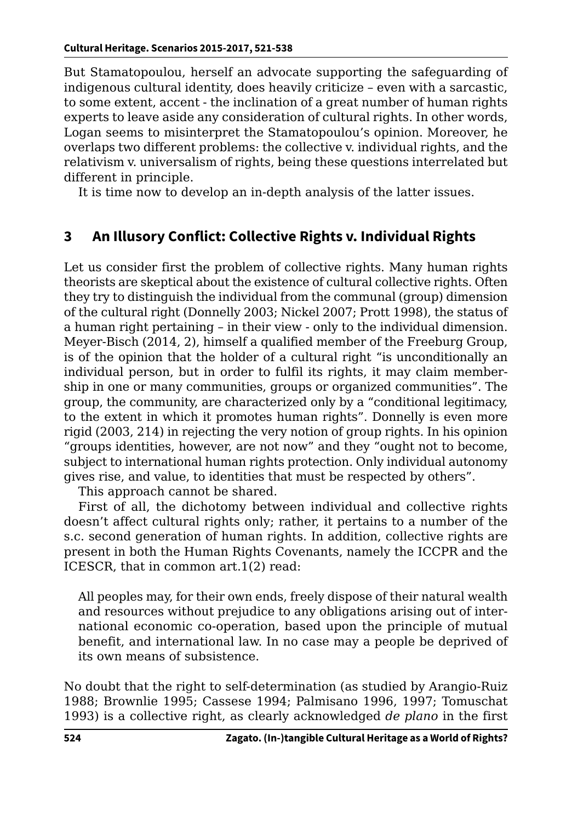But Stamatopoulou, herself an advocate supporting the safeguarding of indigenous cultural identity, does heavily criticize – even with a sarcastic, to some extent, accent - the inclination of a great number of human rights experts to leave aside any consideration of cultural rights. In other words, Logan seems to misinterpret the Stamatopoulou's opinion. Moreover, he overlaps two different problems: the collective v. individual rights, and the relativism v. universalism of rights, being these questions interrelated but different in principle.

It is time now to develop an in-depth analysis of the latter issues.

## **3 An Illusory Conflict: Collective Rights v. Individual Rights**

Let us consider first the problem of collective rights. Many human rights theorists are skeptical about the existence of cultural collective rights. Often they try to distinguish the individual from the communal (group) dimension of the cultural right (Donnelly 2003; Nickel 2007; Prott 1998), the status of a human right pertaining – in their view - only to the individual dimension. Meyer-Bisch (2014, 2), himself a qualified member of the Freeburg Group, is of the opinion that the holder of a cultural right "is unconditionally an individual person, but in order to fulfil its rights, it may claim membership in one or many communities, groups or organized communities". The group, the community, are characterized only by a "conditional legitimacy, to the extent in which it promotes human rights". Donnelly is even more rigid (2003, 214) in rejecting the very notion of group rights. In his opinion "groups identities, however, are not now" and they "ought not to become, subject to international human rights protection. Only individual autonomy gives rise, and value, to identities that must be respected by others".

This approach cannot be shared.

First of all, the dichotomy between individual and collective rights doesn't affect cultural rights only; rather, it pertains to a number of the s.c. second generation of human rights. In addition, collective rights are present in both the Human Rights Covenants, namely the ICCPR and the ICESCR, that in common art.1(2) read:

All peoples may, for their own ends, freely dispose of their natural wealth and resources without prejudice to any obligations arising out of international economic co-operation, based upon the principle of mutual benefit, and international law. In no case may a people be deprived of its own means of subsistence.

No doubt that the right to self-determination (as studied by Arangio-Ruiz 1988; Brownlie 1995; Cassese 1994; Palmisano 1996, 1997; Tomuschat 1993) is a collective right, as clearly acknowledged *de plano* in the first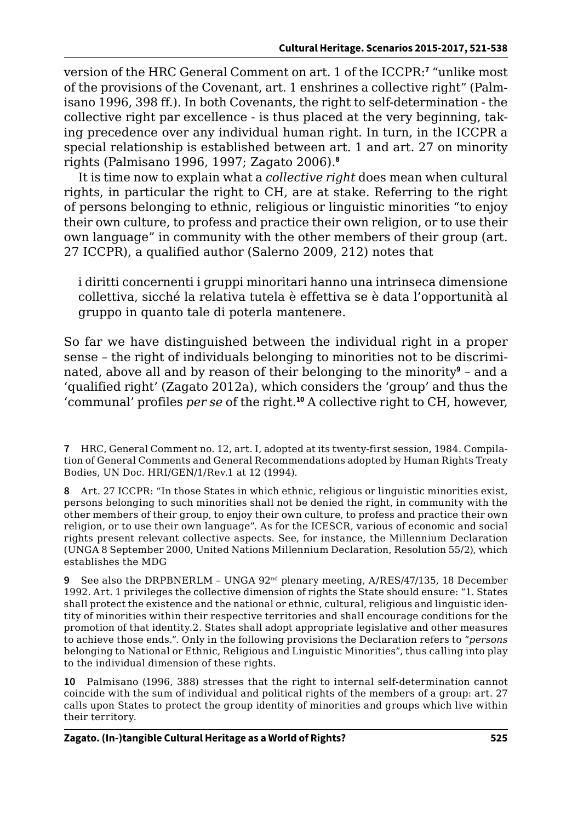version of the HRC General Comment on art. 1 of the ICCPR:**<sup>7</sup>** "unlike most of the provisions of the Covenant, art. 1 enshrines a collective right" (Palmisano 1996, 398 ff.). In both Covenants, the right to self-determination - the collective right par excellence - is thus placed at the very beginning, taking precedence over any individual human right. In turn, in the ICCPR a special relationship is established between art. 1 and art. 27 on minority rights (Palmisano 1996, 1997; Zagato 2006).**<sup>8</sup>**

It is time now to explain what a *collective right* does mean when cultural rights, in particular the right to CH, are at stake. Referring to the right of persons belonging to ethnic, religious or linguistic minorities "to enjoy their own culture, to profess and practice their own religion, or to use their own language" in community with the other members of their group (art. 27 ICCPR), a qualified author (Salerno 2009, 212) notes that

i diritti concernenti i gruppi minoritari hanno una intrinseca dimensione collettiva, sicché la relativa tutela è effettiva se è data l'opportunità al gruppo in quanto tale di poterla mantenere.

So far we have distinguished between the individual right in a proper sense – the right of individuals belonging to minorities not to be discriminated, above all and by reason of their belonging to the minority**<sup>9</sup>** – and a 'qualified right' (Zagato 2012a), which considers the 'group' and thus the 'communal' profiles *per se* of the right.**<sup>10</sup>** A collective right to CH, however,

**<sup>7</sup>** HRC, General Comment no. 12, art. I, adopted at its twenty-first session, 1984. Compilation of General Comments and General Recommendations adopted by Human Rights Treaty Bodies, UN Doc. HRI/GEN/1/Rev.1 at 12 (1994).

**<sup>8</sup>** Art. 27 ICCPR: "In those States in which ethnic, religious or linguistic minorities exist, persons belonging to such minorities shall not be denied the right, in community with the other members of their group, to enjoy their own culture, to profess and practice their own religion, or to use their own language". As for the ICESCR, various of economic and social rights present relevant collective aspects. See, for instance, the Millennium Declaration (UNGA 8 September 2000, United Nations Millennium Declaration, Resolution 55/2), which establishes the MDG

**<sup>9</sup>** See also the DRPBNERLM - UNGA 92<sup>nd</sup> plenary meeting, A/RES/47/135, 18 December 1992. Art. 1 privileges the collective dimension of rights the State should ensure: "1. States shall protect the existence and the national or ethnic, cultural, religious and linguistic identity of minorities within their respective territories and shall encourage conditions for the promotion of that identity.2. States shall adopt appropriate legislative and other measures to achieve those ends.". Only in the following provisions the Declaration refers to "*persons*  belonging to National or Ethnic, Religious and Linguistic Minorities", thus calling into play to the individual dimension of these rights.

**<sup>10</sup>** Palmisano (1996, 388) stresses that the right to internal self-determination cannot coincide with the sum of individual and political rights of the members of a group: art. 27 calls upon States to protect the group identity of minorities and groups which live within their territory.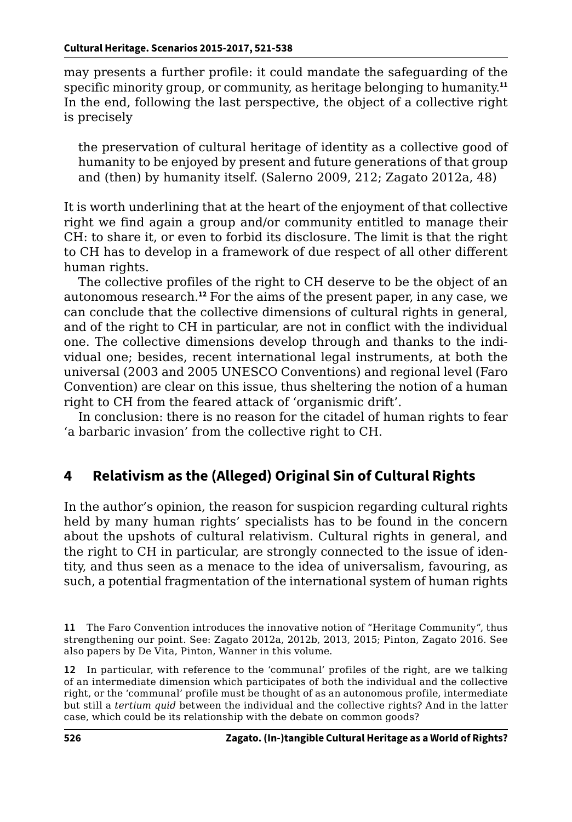may presents a further profile: it could mandate the safeguarding of the specific minority group, or community, as heritage belonging to humanity.<sup>11</sup> In the end, following the last perspective, the object of a collective right is precisely

the preservation of cultural heritage of identity as a collective good of humanity to be enjoyed by present and future generations of that group and (then) by humanity itself. (Salerno 2009, 212; Zagato 2012a, 48)

It is worth underlining that at the heart of the enjoyment of that collective right we find again a group and/or community entitled to manage their CH: to share it, or even to forbid its disclosure. The limit is that the right to CH has to develop in a framework of due respect of all other different human rights.

The collective profiles of the right to CH deserve to be the object of an autonomous research.**<sup>12</sup>** For the aims of the present paper, in any case, we can conclude that the collective dimensions of cultural rights in general, and of the right to CH in particular, are not in conflict with the individual one. The collective dimensions develop through and thanks to the individual one; besides, recent international legal instruments, at both the universal (2003 and 2005 UNESCO Conventions) and regional level (Faro Convention) are clear on this issue, thus sheltering the notion of a human right to CH from the feared attack of 'organismic drift'.

In conclusion: there is no reason for the citadel of human rights to fear 'a barbaric invasion' from the collective right to CH.

# **4 Relativism as the (Alleged) Original Sin of Cultural Rights**

In the author's opinion, the reason for suspicion regarding cultural rights held by many human rights' specialists has to be found in the concern about the upshots of cultural relativism. Cultural rights in general, and the right to CH in particular, are strongly connected to the issue of identity, and thus seen as a menace to the idea of universalism, favouring, as such, a potential fragmentation of the international system of human rights

**12** In particular, with reference to the 'communal' profiles of the right, are we talking of an intermediate dimension which participates of both the individual and the collective right, or the 'communal' profile must be thought of as an autonomous profile, intermediate but still a *tertium quid* between the individual and the collective rights? And in the latter case, which could be its relationship with the debate on common goods?

**<sup>11</sup>** The Faro Convention introduces the innovative notion of "Heritage Community", thus strengthening our point. See: Zagato 2012a, 2012b, 2013, 2015; Pinton, Zagato 2016. See also papers by De Vita, Pinton, Wanner in this volume.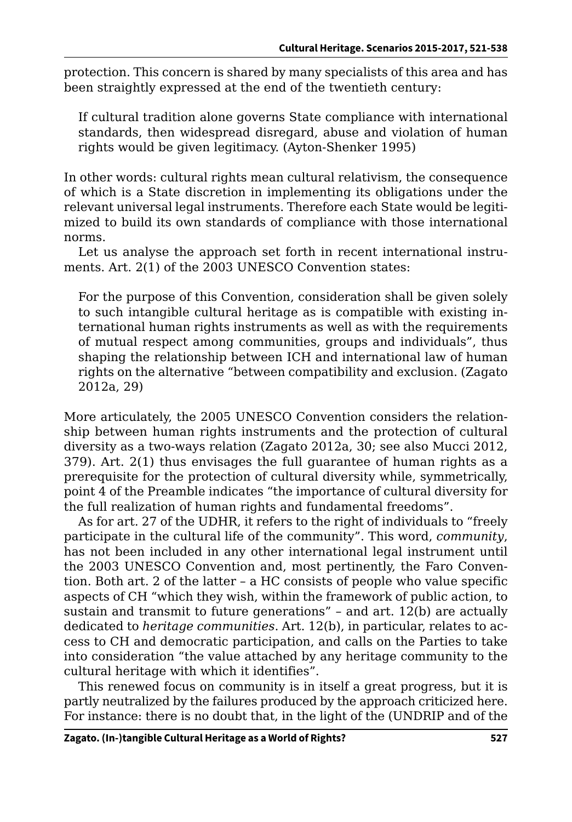protection. This concern is shared by many specialists of this area and has been straightly expressed at the end of the twentieth century:

If cultural tradition alone governs State compliance with international standards, then widespread disregard, abuse and violation of human rights would be given legitimacy. (Ayton-Shenker 1995)

In other words: cultural rights mean cultural relativism, the consequence of which is a State discretion in implementing its obligations under the relevant universal legal instruments. Therefore each State would be legitimized to build its own standards of compliance with those international norms.

Let us analyse the approach set forth in recent international instruments. Art. 2(1) of the 2003 UNESCO Convention states:

For the purpose of this Convention, consideration shall be given solely to such intangible cultural heritage as is compatible with existing international human rights instruments as well as with the requirements of mutual respect among communities, groups and individuals", thus shaping the relationship between ICH and international law of human rights on the alternative "between compatibility and exclusion. (Zagato 2012a, 29)

More articulately, the 2005 UNESCO Convention considers the relationship between human rights instruments and the protection of cultural diversity as a two-ways relation (Zagato 2012a, 30; see also Mucci 2012, 379). Art. 2(1) thus envisages the full guarantee of human rights as a prerequisite for the protection of cultural diversity while, symmetrically, point 4 of the Preamble indicates "the importance of cultural diversity for the full realization of human rights and fundamental freedoms".

As for art. 27 of the UDHR, it refers to the right of individuals to "freely participate in the cultural life of the community". This word, *community*, has not been included in any other international legal instrument until the 2003 UNESCO Convention and, most pertinently, the Faro Convention. Both art. 2 of the latter – a HC consists of people who value specific aspects of CH "which they wish, within the framework of public action, to sustain and transmit to future generations" – and art. 12(b) are actually dedicated to *heritage communities*. Art. 12(b), in particular, relates to access to CH and democratic participation, and calls on the Parties to take into consideration "the value attached by any heritage community to the cultural heritage with which it identifies".

This renewed focus on community is in itself a great progress, but it is partly neutralized by the failures produced by the approach criticized here. For instance: there is no doubt that, in the light of the (UNDRIP and of the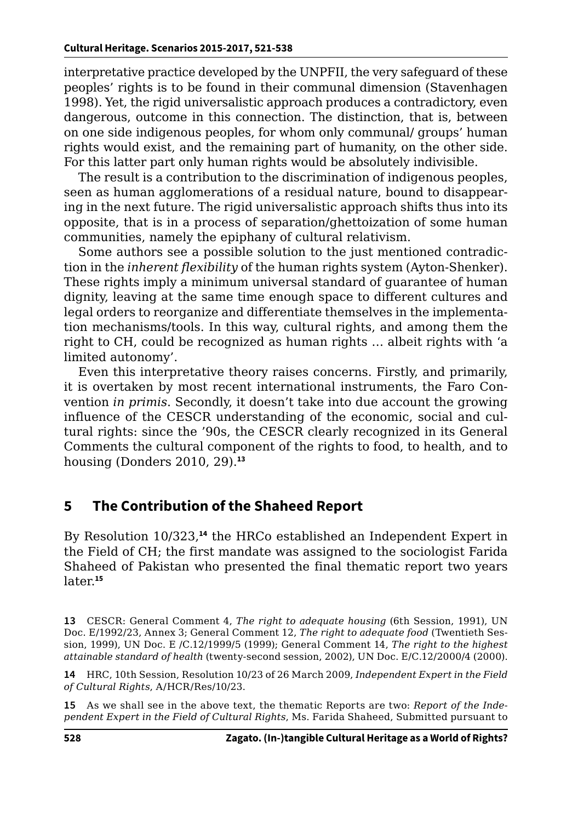interpretative practice developed by the UNPFII, the very safeguard of these peoples' rights is to be found in their communal dimension (Stavenhagen 1998). Yet, the rigid universalistic approach produces a contradictory, even dangerous, outcome in this connection. The distinction, that is, between on one side indigenous peoples, for whom only communal/ groups' human rights would exist, and the remaining part of humanity, on the other side. For this latter part only human rights would be absolutely indivisible.

The result is a contribution to the discrimination of indigenous peoples, seen as human agglomerations of a residual nature, bound to disappearing in the next future. The rigid universalistic approach shifts thus into its opposite, that is in a process of separation/ghettoization of some human communities, namely the epiphany of cultural relativism.

Some authors see a possible solution to the just mentioned contradiction in the *inherent flexibility* of the human rights system (Ayton-Shenker). These rights imply a minimum universal standard of guarantee of human dignity, leaving at the same time enough space to different cultures and legal orders to reorganize and differentiate themselves in the implementation mechanisms/tools. In this way, cultural rights, and among them the right to CH, could be recognized as human rights … albeit rights with 'a limited autonomy'.

Even this interpretative theory raises concerns. Firstly, and primarily, it is overtaken by most recent international instruments, the Faro Convention *in primis*. Secondly, it doesn't take into due account the growing influence of the CESCR understanding of the economic, social and cultural rights: since the '90s, the CESCR clearly recognized in its General Comments the cultural component of the rights to food, to health, and to housing (Donders 2010, 29).**<sup>13</sup>**

## **5 The Contribution of the Shaheed Report**

By Resolution 10/323,**<sup>14</sup>** the HRCo established an Independent Expert in the Field of CH; the first mandate was assigned to the sociologist Farida Shaheed of Pakistan who presented the final thematic report two years later.**<sup>15</sup>**

**13** CESCR: General Comment 4, *The right to adequate housing* (6th Session, 1991), UN Doc. E/1992/23, Annex 3; General Comment 12, *The right to adequate food* (Twentieth Session, 1999), UN Doc. E /C.12/1999/5 (1999); General Comment 14, *The right to the highest attainable standard of health* (twenty-second session, 2002), UN Doc. E/C.12/2000/4 (2000).

**14** HRC, 10th Session, Resolution 10/23 of 26 March 2009, *Independent Expert in the Field of Cultural Rights*, A/HCR/Res/10/23.

**15** As we shall see in the above text, the thematic Reports are two: *Report of the Independent Expert in the Field of Cultural Rights*, Ms. Farida Shaheed, Submitted pursuant to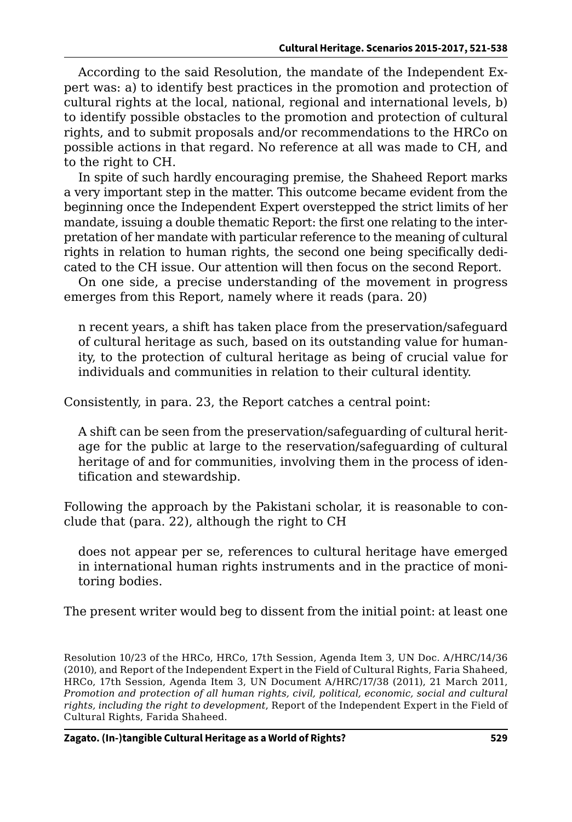According to the said Resolution, the mandate of the Independent Expert was: a) to identify best practices in the promotion and protection of cultural rights at the local, national, regional and international levels, b) to identify possible obstacles to the promotion and protection of cultural rights, and to submit proposals and/or recommendations to the HRCo on possible actions in that regard. No reference at all was made to CH, and to the right to CH.

In spite of such hardly encouraging premise, the Shaheed Report marks a very important step in the matter. This outcome became evident from the beginning once the Independent Expert overstepped the strict limits of her mandate, issuing a double thematic Report: the first one relating to the interpretation of her mandate with particular reference to the meaning of cultural rights in relation to human rights, the second one being specifically dedicated to the CH issue. Our attention will then focus on the second Report.

On one side, a precise understanding of the movement in progress emerges from this Report, namely where it reads (para. 20)

n recent years, a shift has taken place from the preservation/safeguard of cultural heritage as such, based on its outstanding value for humanity, to the protection of cultural heritage as being of crucial value for individuals and communities in relation to their cultural identity.

Consistently, in para. 23, the Report catches a central point:

A shift can be seen from the preservation/safeguarding of cultural heritage for the public at large to the reservation/safeguarding of cultural heritage of and for communities, involving them in the process of identification and stewardship.

Following the approach by the Pakistani scholar, it is reasonable to conclude that (para. 22), although the right to CH

does not appear per se, references to cultural heritage have emerged in international human rights instruments and in the practice of monitoring bodies.

The present writer would beg to dissent from the initial point: at least one

Resolution 10/23 of the HRCo, HRCo, 17th Session, Agenda Item 3, UN Doc. A/HRC/14/36 (2010), and Report of the Independent Expert in the Field of Cultural Rights, Faria Shaheed, HRCo, 17th Session, Agenda Item 3, UN Document A/HRC/17/38 (2011), 21 March 2011, *Promotion and protection of all human rights, civil, political, economic, social and cultural rights, including the right to development*, Report of the Independent Expert in the Field of Cultural Rights, Farida Shaheed.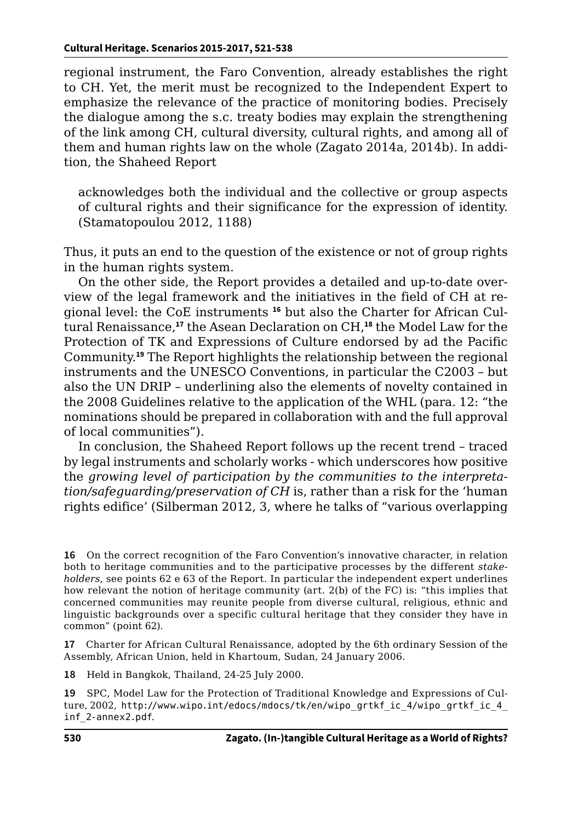regional instrument, the Faro Convention, already establishes the right to CH. Yet, the merit must be recognized to the Independent Expert to emphasize the relevance of the practice of monitoring bodies. Precisely the dialogue among the s.c. treaty bodies may explain the strengthening of the link among CH, cultural diversity, cultural rights, and among all of them and human rights law on the whole (Zagato 2014a, 2014b). In addition, the Shaheed Report

acknowledges both the individual and the collective or group aspects of cultural rights and their significance for the expression of identity. (Stamatopoulou 2012, 1188)

Thus, it puts an end to the question of the existence or not of group rights in the human rights system.

On the other side, the Report provides a detailed and up-to-date overview of the legal framework and the initiatives in the field of CH at regional level: the CoE instruments **16** but also the Charter for African Cultural Renaissance,**<sup>17</sup>** the Asean Declaration on CH,**<sup>18</sup>** the Model Law for the Protection of TK and Expressions of Culture endorsed by ad the Pacific Community.**<sup>19</sup>** The Report highlights the relationship between the regional instruments and the UNESCO Conventions, in particular the C2003 – but also the UN DRIP – underlining also the elements of novelty contained in the 2008 Guidelines relative to the application of the WHL (para. 12: "the nominations should be prepared in collaboration with and the full approval of local communities").

In conclusion, the Shaheed Report follows up the recent trend – traced by legal instruments and scholarly works - which underscores how positive the *growing level of participation by the communities to the interpretation/safeguarding/preservation of CH* is, rather than a risk for the 'human rights edifice' (Silberman 2012, 3, where he talks of "various overlapping

**16** On the correct recognition of the Faro Convention's innovative character, in relation both to heritage communities and to the participative processes by the different *stakeholders*, see points 62 e 63 of the Report. In particular the independent expert underlines how relevant the notion of heritage community (art. 2(b) of the FC) is: "this implies that concerned communities may reunite people from diverse cultural, religious, ethnic and linguistic backgrounds over a specific cultural heritage that they consider they have in common" (point 62).

**17** Charter for African Cultural Renaissance, adopted by the 6th ordinary Session of the Assembly, African Union, held in Khartoum, Sudan, 24 January 2006.

**18** Held in Bangkok, Thailand, 24-25 July 2000.

**19** SPC, Model Law for the Protection of Traditional Knowledge and Expressions of Culture, 2002, http://[www.wipo.int/edocs/mdocs/tk/en/wipo\\_grtkf\\_ic\\_4/wipo\\_grtkf\\_ic\\_4\\_](http://www.wipo.int/edocs/mdocs/tk/en/wipo_grtkf_ic_4/wipo_grtkf_ic_4_inf_2-annex2.pdf) [inf\\_2-annex2.pdf](http://www.wipo.int/edocs/mdocs/tk/en/wipo_grtkf_ic_4/wipo_grtkf_ic_4_inf_2-annex2.pdf).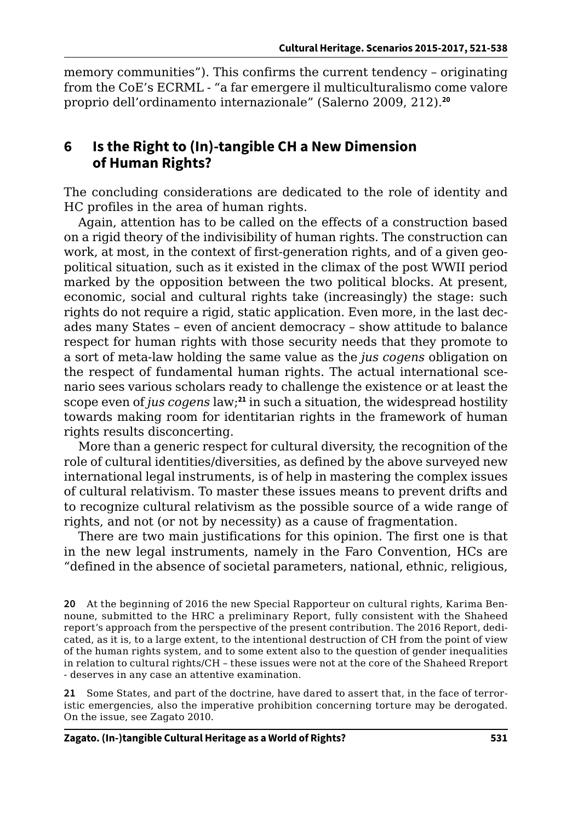memory communities"). This confirms the current tendency – originating from the CoE's ECRML - "a far emergere il multiculturalismo come valore proprio dell'ordinamento internazionale" (Salerno 2009, 212).**<sup>20</sup>**

#### **6 Is the Right to (In)-tangible CH a New Dimension of Human Rights?**

The concluding considerations are dedicated to the role of identity and HC profiles in the area of human rights.

Again, attention has to be called on the effects of a construction based on a rigid theory of the indivisibility of human rights. The construction can work, at most, in the context of first-generation rights, and of a given geopolitical situation, such as it existed in the climax of the post WWII period marked by the opposition between the two political blocks. At present, economic, social and cultural rights take (increasingly) the stage: such rights do not require a rigid, static application. Even more, in the last decades many States – even of ancient democracy – show attitude to balance respect for human rights with those security needs that they promote to a sort of meta-law holding the same value as the *jus cogens* obligation on the respect of fundamental human rights. The actual international scenario sees various scholars ready to challenge the existence or at least the scope even of *jus cogens* law;**<sup>21</sup>** in such a situation, the widespread hostility towards making room for identitarian rights in the framework of human rights results disconcerting.

More than a generic respect for cultural diversity, the recognition of the role of cultural identities/diversities, as defined by the above surveyed new international legal instruments, is of help in mastering the complex issues of cultural relativism. To master these issues means to prevent drifts and to recognize cultural relativism as the possible source of a wide range of rights, and not (or not by necessity) as a cause of fragmentation.

There are two main justifications for this opinion. The first one is that in the new legal instruments, namely in the Faro Convention, HCs are "defined in the absence of societal parameters, national, ethnic, religious,

**21** Some States, and part of the doctrine, have dared to assert that, in the face of terroristic emergencies, also the imperative prohibition concerning torture may be derogated. On the issue, see Zagato 2010.

**<sup>20</sup>** At the beginning of 2016 the new Special Rapporteur on cultural rights, Karima Bennoune, submitted to the HRC a preliminary Report, fully consistent with the Shaheed report's approach from the perspective of the present contribution. The 2016 Report, dedicated, as it is, to a large extent, to the intentional destruction of CH from the point of view of the human rights system, and to some extent also to the question of gender inequalities in relation to cultural rights/CH – these issues were not at the core of the Shaheed Rreport - deserves in any case an attentive examination.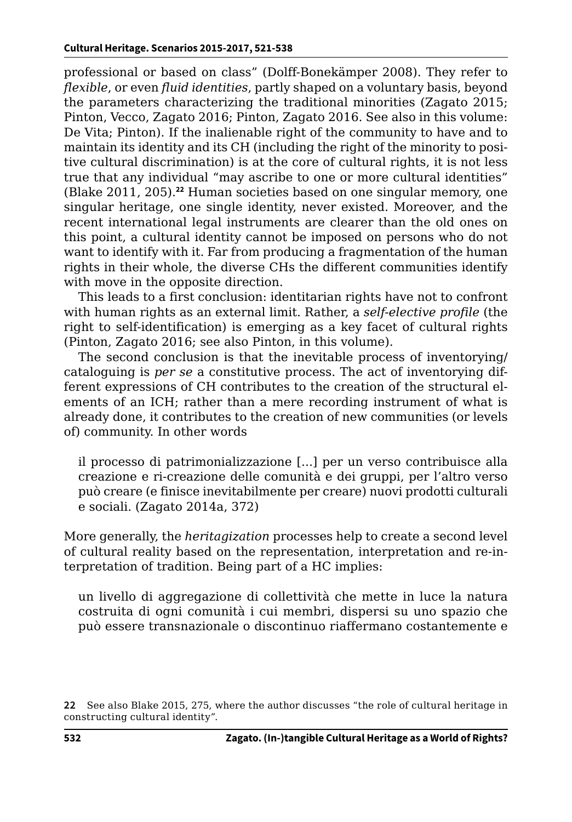professional or based on class" (Dolff-Bonekämper 2008). They refer to *flexible*, or even *fluid identities*, partly shaped on a voluntary basis, beyond the parameters characterizing the traditional minorities (Zagato 2015; Pinton, Vecco, Zagato 2016; Pinton, Zagato 2016. See also in this volume: De Vita; Pinton). If the inalienable right of the community to have and to maintain its identity and its CH (including the right of the minority to positive cultural discrimination) is at the core of cultural rights, it is not less true that any individual "may ascribe to one or more cultural identities" (Blake 2011, 205).**<sup>22</sup>** Human societies based on one singular memory, one singular heritage, one single identity, never existed. Moreover, and the recent international legal instruments are clearer than the old ones on this point, a cultural identity cannot be imposed on persons who do not want to identify with it. Far from producing a fragmentation of the human rights in their whole, the diverse CHs the different communities identify with move in the opposite direction.

This leads to a first conclusion: identitarian rights have not to confront with human rights as an external limit. Rather, a *self-elective profile* (the right to self-identification) is emerging as a key facet of cultural rights (Pinton, Zagato 2016; see also Pinton, in this volume).

The second conclusion is that the inevitable process of inventorying/ cataloguing is *per se* a constitutive process. The act of inventorying different expressions of CH contributes to the creation of the structural elements of an ICH; rather than a mere recording instrument of what is already done, it contributes to the creation of new communities (or levels of) community. In other words

il processo di patrimonializzazione [...] per un verso contribuisce alla creazione e ri-creazione delle comunità e dei gruppi, per l'altro verso può creare (e finisce inevitabilmente per creare) nuovi prodotti culturali e sociali. (Zagato 2014a, 372)

More generally, the *heritagization* processes help to create a second level of cultural reality based on the representation, interpretation and re-interpretation of tradition. Being part of a HC implies:

un livello di aggregazione di collettività che mette in luce la natura costruita di ogni comunità i cui membri, dispersi su uno spazio che può essere transnazionale o discontinuo riaffermano costantemente e

**<sup>22</sup>** See also Blake 2015, 275, where the author discusses "the role of cultural heritage in constructing cultural identity".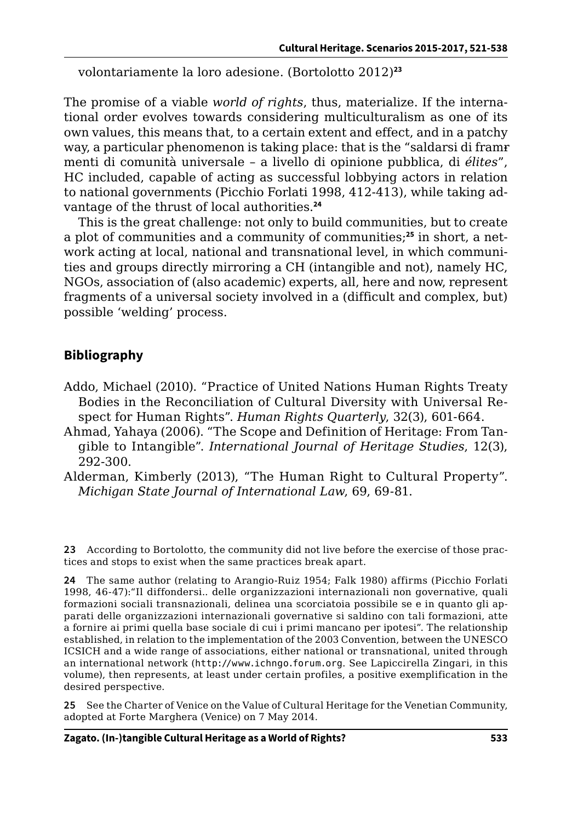volontariamente la loro adesione. (Bortolotto 2012)**<sup>23</sup>**

The promise of a viable *world of rights*, thus, materialize. If the international order evolves towards considering multiculturalism as one of its own values, this means that, to a certain extent and effect, and in a patchy way, a particular phenomenon is taking place: that is the "saldarsi di framrmenti di comunità universale – a livello di opinione pubblica, di *élites*", HC included, capable of acting as successful lobbying actors in relation to national governments (Picchio Forlati 1998, 412-413), while taking advantage of the thrust of local authorities.**<sup>24</sup>**

This is the great challenge: not only to build communities, but to create a plot of communities and a community of communities;**25** in short, a network acting at local, national and transnational level, in which communities and groups directly mirroring a CH (intangible and not), namely HC, NGOs, association of (also academic) experts, all, here and now, represent fragments of a universal society involved in a (difficult and complex, but) possible 'welding' process.

#### **Bibliography**

- Addo, Michael (2010). "Practice of United Nations Human Rights Treaty Bodies in the Reconciliation of Cultural Diversity with Universal Respect for Human Rights". *Human Rights Quarterly*, 32(3), 601-664.
- Ahmad, Yahaya (2006). "The Scope and Definition of Heritage: From Tangible to Intangible". *International Journal of Heritage Studies*, 12(3), 292-300.
- Alderman, Kimberly (2013), "The Human Right to Cultural Property". *Michigan State Journal of International Law*, 69, 69-81.

**23** According to Bortolotto, the community did not live before the exercise of those practices and stops to exist when the same practices break apart.

**24** The same author (relating to Arangio-Ruiz 1954; Falk 1980) affirms (Picchio Forlati 1998, 46-47):"Il diffondersi.. delle organizzazioni internazionali non governative, quali formazioni sociali transnazionali, delinea una scorciatoia possibile se e in quanto gli apparati delle organizzazioni internazionali governative si saldino con tali formazioni, atte a fornire ai primi quella base sociale di cui i primi mancano per ipotesi". The relationship established, in relation to the implementation of the 2003 Convention, between the UNESCO ICSICH and a wide range of associations, either national or transnational, united through an international network (http://[www.ichngo.forum.org](http://www.ichngo.forum.org). See Lapiccirella Zingari, in this volume), then represents, at least under certain profiles, a positive exemplification in the desired perspective.

**25** See the Charter of Venice on the Value of Cultural Heritage for the Venetian Community, adopted at Forte Marghera (Venice) on 7 May 2014.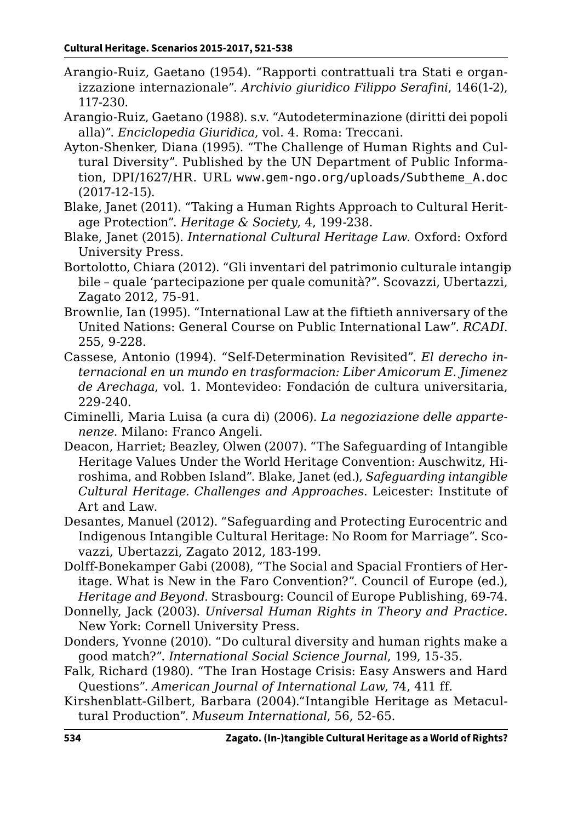- Arangio-Ruiz, Gaetano (1954). "Rapporti contrattuali tra Stati e organizzazione internazionale". *Archivio giuridico Filippo Serafini*, 146(1-2), 117-230.
- Arangio-Ruiz, Gaetano (1988). s.v. "Autodeterminazione (diritti dei popoli alla)". *Enciclopedia Giuridica*, vol. 4. Roma: Treccani.
- Ayton-Shenker, Diana (1995). "The Challenge of Human Rights and Cultural Diversity". Published by the UN Department of Public Information, DPI/1627/HR. URL [www.gem-ngo.org/uploads/Subtheme\\_A.doc](http://www.gem-ngo.org/uploads/Subtheme_A.doc) (2017-12-15).
- Blake, Janet (2011). "Taking a Human Rights Approach to Cultural Heritage Protection". *Heritage & Society*, 4, 199-238.
- Blake, Janet (2015). *International Cultural Heritage Law*. Oxford: Oxford University Press.
- Bortolotto, Chiara (2012). "Gli inventari del patrimonio culturale intangipbile – quale 'partecipazione per quale comunità?". Scovazzi, Ubertazzi, Zagato 2012, 75-91.
- Brownlie, Ian (1995). "International Law at the fiftieth anniversary of the United Nations: General Course on Public International Law". *RCADI*. 255, 9-228.
- Cassese, Antonio (1994). "Self-Determination Revisited". *El derecho internacional en un mundo en trasformacion: Liber Amicorum E. Jimenez de Arechaga*, vol. 1. Montevideo: Fondación de cultura universitaria, 229-240.
- Ciminelli, Maria Luisa (a cura di) (2006). *La negoziazione delle appartenenze*. Milano: Franco Angeli.
- Deacon, Harriet; Beazley, Olwen (2007). "The Safeguarding of Intangible Heritage Values Under the World Heritage Convention: Auschwitz, Hiroshima, and Robben Island". Blake, Janet (ed.), *Safeguarding intangible Cultural Heritage. Challenges and Approaches*. Leicester: Institute of Art and Law.
- Desantes, Manuel (2012). "Safeguarding and Protecting Eurocentric and Indigenous Intangible Cultural Heritage: No Room for Marriage". Scovazzi, Ubertazzi, Zagato 2012, 183-199.
- Dolff-Bonekamper Gabi (2008), "The Social and Spacial Frontiers of Heritage. What is New in the Faro Convention?". Council of Europe (ed.), *Heritage and Beyond*. Strasbourg: Council of Europe Publishing, 69-74.
- Donnelly, Jack (2003). *Universal Human Rights in Theory and Practice*. New York: Cornell University Press.
- Donders, Yvonne (2010). "Do cultural diversity and human rights make a good match?". *International Social Science Journal*, 199, 15-35.
- Falk, Richard (1980). "The Iran Hostage Crisis: Easy Answers and Hard Questions". *American Journal of International Law*, 74, 411 ff.
- Kirshenblatt-Gilbert, Barbara (2004)."Intangible Heritage as Metacultural Production". *Museum International*, 56, 52-65.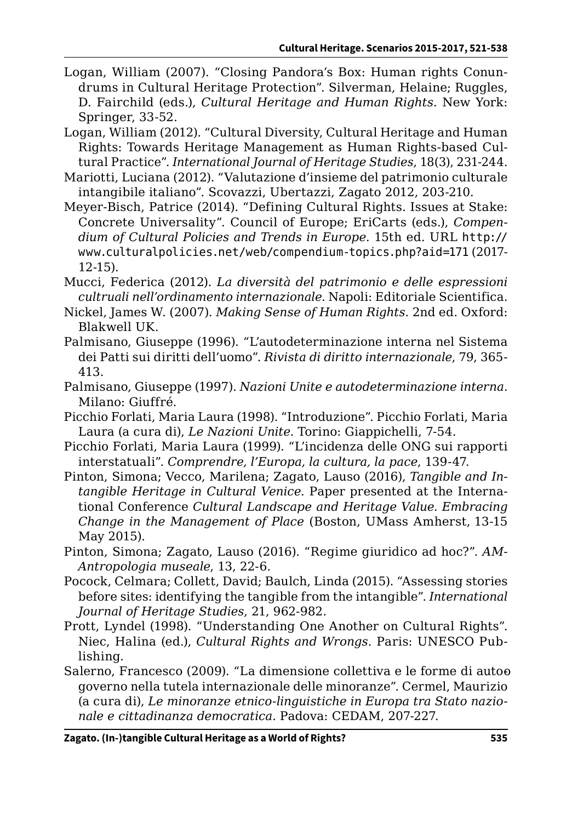- Logan, William (2007). "Closing Pandora's Box: Human rights Conundrums in Cultural Heritage Protection". Silverman, Helaine; Ruggles, D. Fairchild (eds.), *Cultural Heritage and Human Rights*. New York: Springer, 33-52.
- Logan, William (2012). "Cultural Diversity, Cultural Heritage and Human Rights: Towards Heritage Management as Human Rights-based Cultural Practice". *International Journal of Heritage Studies*, 18(3), 231-244.
- Mariotti, Luciana (2012). "Valutazione d'insieme del patrimonio culturale intangibile italiano". Scovazzi, Ubertazzi, Zagato 2012, 203-210.
- Meyer-Bisch, Patrice (2014). "Defining Cultural Rights. Issues at Stake: Concrete Universality". Council of Europe; EriCarts (eds.), *Compendium of Cultural Policies and Trends in Europe*. 15th ed. URL http:// [www.culturalpolicies.net/web/compendium-topics.php?aid=171](http://www.culturalpolicies.net/web/compendium-topics.php?aid=171) (2017- 12-15).
- Mucci, Federica (2012). *La diversità del patrimonio e delle espressioni cultruali nell'ordinamento internazionale*. Napoli: Editoriale Scientifica.
- Nickel, James W. (2007). *Making Sense of Human Rights*. 2nd ed. Oxford: Blakwell UK.
- Palmisano, Giuseppe (1996). "L'autodeterminazione interna nel Sistema dei Patti sui diritti dell'uomo". *Rivista di diritto internazionale*, 79, 365- 413.
- Palmisano, Giuseppe (1997). *Nazioni Unite e autodeterminazione interna*. Milano: Giuffré.
- Picchio Forlati, Maria Laura (1998). "Introduzione". Picchio Forlati, Maria Laura (a cura di), *Le Nazioni Unite*. Torino: Giappichelli, 7-54.
- Picchio Forlati, Maria Laura (1999). "L'incidenza delle ONG sui rapporti interstatuali". *Comprendre, l'Europa, la cultura, la pace*, 139-47.
- Pinton, Simona; Vecco, Marilena; Zagato, Lauso (2016), *Tangible and Intangible Heritage in Cultural Venice*. Paper presented at the International Conference *Cultural Landscape and Heritage Value. Embracing Change in the Management of Place* (Boston, UMass Amherst, 13-15 May 2015).
- Pinton, Simona; Zagato, Lauso (2016). "Regime giuridico ad hoc?". *AM-Antropologia museale*, 13, 22-6.
- Pocock, Celmara; Collett, David; Baulch, Linda (2015). "Assessing stories before sites: identifying the tangible from the intangible". *International Journal of Heritage Studies*, 21, 962-982.
- Prott, Lyndel (1998). "Understanding One Another on Cultural Rights". Niec, Halina (ed.), *Cultural Rights and Wrongs*. Paris: UNESCO Publishing.
- Salerno, Francesco (2009). "La dimensione collettiva e le forme di autoo governo nella tutela internazionale delle minoranze". Cermel, Maurizio (a cura di), *Le minoranze etnico-linguistiche in Europa tra Stato nazionale e cittadinanza democratica*. Padova: CEDAM, 207-227.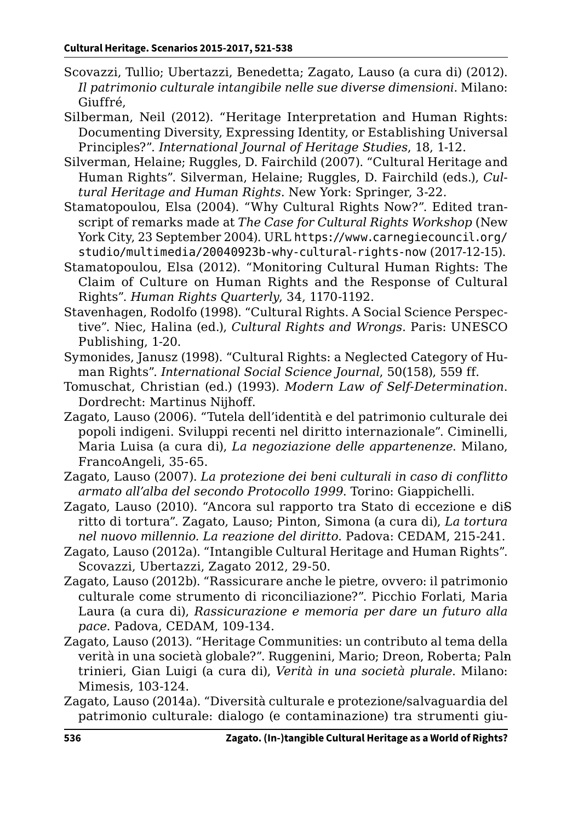- Scovazzi, Tullio; Ubertazzi, Benedetta; Zagato, Lauso (a cura di) (2012). *Il patrimonio culturale intangibile nelle sue diverse dimensioni*. Milano: Giuffré,
- Silberman, Neil (2012). "Heritage Interpretation and Human Rights: Documenting Diversity, Expressing Identity, or Establishing Universal Principles?". *International Journal of Heritage Studies*, 18, 1-12.
- Silverman, Helaine; Ruggles, D. Fairchild (2007). "Cultural Heritage and Human Rights". Silverman, Helaine; Ruggles, D. Fairchild (eds.), *Cultural Heritage and Human Rights*. New York: Springer, 3-22.
- Stamatopoulou, Elsa (2004). "Why Cultural Rights Now?". Edited transcript of remarks made at *The Case for Cultural Rights Workshop* (New York City, 23 September 2004). URL [https://www.carnegiecouncil.org/](https://www.carnegiecouncil.org/studio/multimedia/20040923b-why-cultural-rights-now) [studio/multimedia/20040923b-why-cultural-rights-now](https://www.carnegiecouncil.org/studio/multimedia/20040923b-why-cultural-rights-now) (2017-12-15).
- Stamatopoulou, Elsa (2012). "Monitoring Cultural Human Rights: The Claim of Culture on Human Rights and the Response of Cultural Rights". *Human Rights Quarterly*, 34, 1170-1192.
- Stavenhagen, Rodolfo (1998). "Cultural Rights. A Social Science Perspective". Niec, Halina (ed.), *Cultural Rights and Wrongs*. Paris: UNESCO Publishing, 1-20.
- Symonides, Janusz (1998). "Cultural Rights: a Neglected Category of Human Rights". *International Social Science Journal*, 50(158), 559 ff.
- Tomuschat, Christian (ed.) (1993). *Modern Law of Self-Determination*. Dordrecht: Martinus Nijhoff.
- Zagato, Lauso (2006). "Tutela dell'identità e del patrimonio culturale dei popoli indigeni. Sviluppi recenti nel diritto internazionale". Ciminelli, Maria Luisa (a cura di), *La negoziazione delle appartenenze*. Milano, FrancoAngeli, 35-65.
- Zagato, Lauso (2007). *La protezione dei beni culturali in caso di conflitto armato all'alba del secondo Protocollo 1999*. Torino: Giappichelli.
- Zagato, Lauso (2010). "Ancora sul rapporto tra Stato di eccezione e diS ritto di tortura". Zagato, Lauso; Pinton, Simona (a cura di), *La tortura nel nuovo millennio. La reazione del diritto*. Padova: CEDAM, 215-241.
- Zagato, Lauso (2012a). "Intangible Cultural Heritage and Human Rights". Scovazzi, Ubertazzi, Zagato 2012, 29-50.
- Zagato, Lauso (2012b). "Rassicurare anche le pietre, ovvero: il patrimonio culturale come strumento di riconciliazione?". Picchio Forlati, Maria Laura (a cura di), *Rassicurazione e memoria per dare un futuro alla pace*. Padova, CEDAM, 109-134.
- Zagato, Lauso (2013). "Heritage Communities: un contributo al tema della verità in una società globale?". Ruggenini, Mario; Dreon, Roberta; Paln trinieri, Gian Luigi (a cura di), *Verità in una società plurale*. Milano: Mimesis, 103-124.
- Zagato, Lauso (2014a). "Diversità culturale e protezione/salvaguardia del patrimonio culturale: dialogo (e contaminazione) tra strumenti giu-